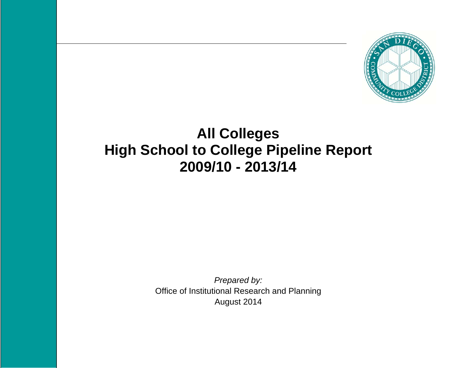

# **All Colleges High School to College Pipeline Report 2009/10 - 2013/14**

*Prepared by:*  Office of Institutional Research and Planning August 2014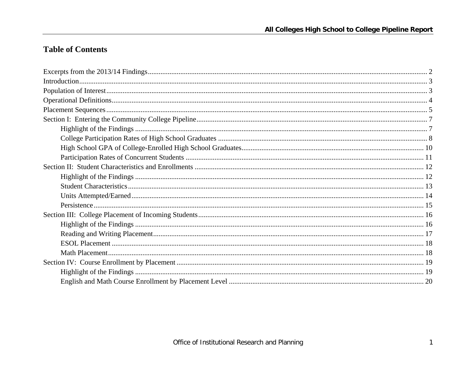## **Table of Contents**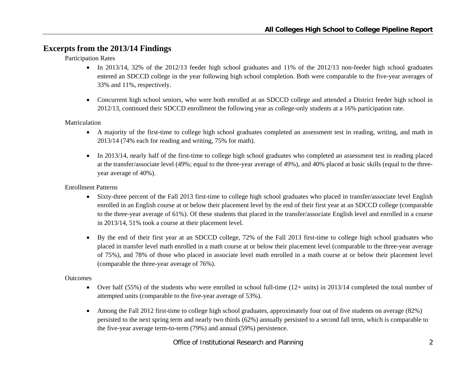## **Excerpts from the 2013/14 Findings**

#### Participation Rates

- In 2013/14, 32% of the 2012/13 feeder high school graduates and 11% of the 2012/13 non-feeder high school graduates entered an SDCCD college in the year following high school completion. Both were comparable to the five-year averages of 33% and 11%, respectively.
- Concurrent high school seniors, who were both enrolled at an SDCCD college and attended a District feeder high school in 2012/13, continued their SDCCD enrollment the following year as college-only students at a 16% participation rate.

#### Matriculation

- A majority of the first-time to college high school graduates completed an assessment test in reading, writing, and math in 2013/14 (74% each for reading and writing, 75% for math).
- In 2013/14, nearly half of the first-time to college high school graduates who completed an assessment test in reading placed at the transfer/associate level (49%; equal to the three-year average of 49%), and 40% placed at basic skills (equal to the threeyear average of 40%).

#### Enrollment Patterns

- Sixty-three percent of the Fall 2013 first-time to college high school graduates who placed in transfer/associate level English enrolled in an English course at or below their placement level by the end of their first year at an SDCCD college (comparable to the three-year average of 61%). Of these students that placed in the transfer/associate English level and enrolled in a course in 2013/14, 51% took a course at their placement level.
- By the end of their first year at an SDCCD college, 72% of the Fall 2013 first-time to college high school graduates who placed in transfer level math enrolled in a math course at or below their placement level (comparable to the three-year average of 75%), and 78% of those who placed in associate level math enrolled in a math course at or below their placement level (comparable the three-year average of 76%).

#### **Outcomes**

- Over half  $(55%)$  of the students who were enrolled in school full-time  $(12+$  units) in 2013/14 completed the total number of attempted units (comparable to the five-year average of 53%).
- e Among the Fall 2012 first-time to college high school graduates, approximately four out of five students on average (82%) persisted to the next spring term and nearly two thirds (62%) annually persisted to a second fall term, which is comparable to the five-year average term-to-term (79%) and annual (59%) persistence.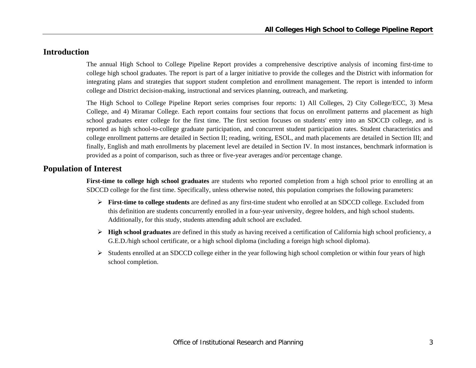## **Introduction**

The annual High School to College Pipeline Report provides a comprehensive descriptive analysis of incoming first-time to college high school graduates. The report is part of a larger initiative to provide the colleges and the District with information for integrating plans and strategies that support student completion and enrollment management. The report is intended to inform college and District decision-making, instructional and services planning, outreach, and marketing.

The High School to College Pipeline Report series comprises four reports: 1) All Colleges, 2) City College/ECC, 3) Mesa College, and 4) Miramar College. Each report contains four sections that focus on enrollment patterns and placement as high school graduates enter college for the first time. The first section focuses on students' entry into an SDCCD college, and is reported as high school-to-college graduate participation, and concurrent student participation rates. Student characteristics and college enrollment patterns are detailed in Section II; reading, writing, ESOL, and math placements are detailed in Section III; and finally, English and math enrollments by placement level are detailed in Section IV. In most instances, benchmark information is provided as a point of comparison, such as three or five-year averages and/or percentage change.

## **Population of Interest**

**First-time to college high school graduates** are students who reported completion from a high school prior to enrolling at an SDCCD college for the first time. Specifically, unless otherwise noted, this population comprises the following parameters:

- **First-time to college students** are defined as any first-time student who enrolled at an SDCCD college. Excluded from this definition are students concurrently enrolled in a four-year university, degree holders, and high school students. Additionally, for this study, students attending adult school are excluded.
- **High school graduates** are defined in this study as having received a certification of California high school proficiency, a G.E.D./high school certificate, or a high school diploma (including a foreign high school diploma).
- $\triangleright$  Students enrolled at an SDCCD college either in the year following high school completion or within four years of high school completion.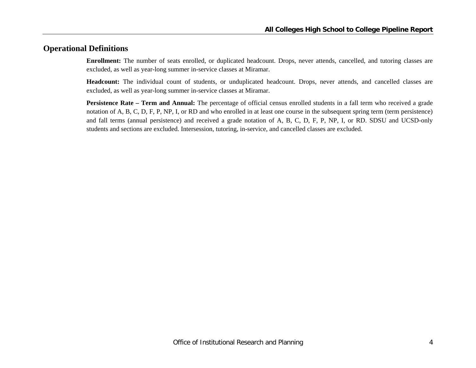## **Operational Definitions**

**Enrollment:** The number of seats enrolled, or duplicated headcount. Drops, never attends, cancelled, and tutoring classes are excluded, as well as year-long summer in-service classes at Miramar.

**Headcount:** The individual count of students, or unduplicated headcount. Drops, never attends, and cancelled classes are excluded, as well as year-long summer in-service classes at Miramar.

**Persistence Rate – Term and Annual:** The percentage of official census enrolled students in a fall term who received a grade notation of A, B, C, D, F, P, NP, I, or RD and who enrolled in at least one course in the subsequent spring term (term persistence) and fall terms (annual persistence) and received a grade notation of A, B, C, D, F, P, NP, I, or RD. SDSU and UCSD-only students and sections are excluded. Intersession, tutoring, in-service, and cancelled classes are excluded.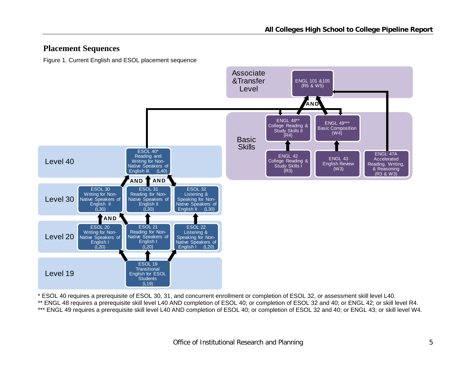## **Placement Sequences**

Figure 1. Current English and ESOL placement sequence



\* ESOL 40 requires a prerequisite of ESOL 30, 31, and concurrent enrollment or completion of ESOL 32, or assessment skill level L40.

\*\* ENGL 48 requires a prerequisite skill level L40 AND completion of ESOL 40; or completion of ESOL 32 and 40; or ENGL 42; or skill level R4.

\*\*\* ENGL 49 requires a prerequisite skill level L40 AND completion of ESOL 40; or completion of ESOL 32 and 40; or ENGL 43; or skill level W4.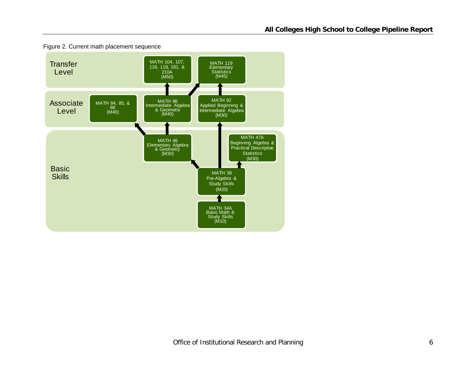

Figure 2. Current math placement sequence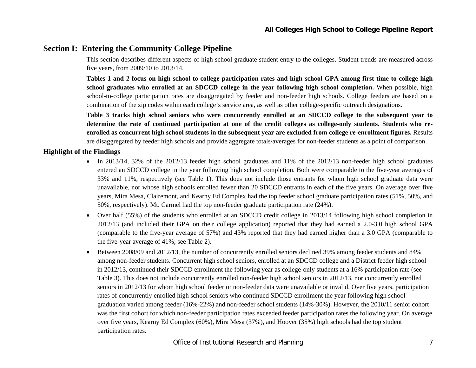## **Section I: Entering the Community College Pipeline**

This section describes different aspects of high school graduate student entry to the colleges. Student trends are measured across five years, from 2009/10 to 2013/14.

**Tables 1 and 2 focus on high school-to-college participation rates and high school GPA among first-time to college high school graduates who enrolled at an SDCCD college in the year following high school completion.** When possible, high school-to-college participation rates are disaggregated by feeder and non-feeder high schools. College feeders are based on a combination of the zip codes within each college's service area, as well as other college-specific outreach designations.

**Table 3 tracks high school seniors who were concurrently enrolled at an SDCCD college to the subsequent year to determine the rate of continued participation at one of the credit colleges as college-only students**. **Students who reenrolled as concurrent high school students in the subsequent year are excluded from college re-enrollment figures.** Results are disaggregated by feeder high schools and provide aggregate totals/averages for non-feeder students as a point of comparison.

#### **Highlight of the Findings**

- In 2013/14, 32% of the 2012/13 feeder high school graduates and 11% of the 2012/13 non-feeder high school graduates entered an SDCCD college in the year following high school completion. Both were comparable to the five-year averages of 33% and 11%, respectively (see Table 1). This does not include those entrants for whom high school graduate data were unavailable, nor whose high schools enrolled fewer than 20 SDCCD entrants in each of the five years. On average over five years, Mira Mesa, Clairemont, and Kearny Ed Complex had the top feeder school graduate participation rates (51%, 50%, and 50%, respectively). Mt. Carmel had the top non-feeder graduate participation rate (24%).
- Over half (55%) of the students who enrolled at an SDCCD credit college in 2013/14 following high school completion in 2012/13 (and included their GPA on their college application) reported that they had earned a 2.0-3.0 high school GPA (comparable to the five-year average of 57%) and 43% reported that they had earned higher than a 3.0 GPA (comparable to the five-year average of 41%; see Table 2).
- $\bullet$  Between 2008/09 and 2012/13, the number of concurrently enrolled seniors declined 39% among feeder students and 84% among non-feeder students. Concurrent high school seniors, enrolled at an SDCCD college and a District feeder high school in 2012/13, continued their SDCCD enrollment the following year as college-only students at a 16% participation rate (see Table 3). This does not include concurrently enrolled non-feeder high school seniors in 2012/13, nor concurrently enrolled seniors in 2012/13 for whom high school feeder or non-feeder data were unavailable or invalid. Over five years, participation rates of concurrently enrolled high school seniors who continued SDCCD enrollment the year following high school graduation varied among feeder (16%-22%) and non-feeder school students (14%-30%). However, the 2010/11 senior cohort was the first cohort for which non-feeder participation rates exceeded feeder participation rates the following year. On average over five years, Kearny Ed Complex (60%), Mira Mesa (37%), and Hoover (35%) high schools had the top student participation rates.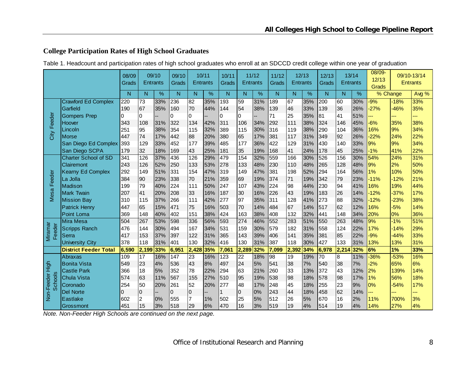## **College Participation Rates of High School Graduates**

|  |  | Table 1. Headcount and participation rates of high school graduates who enroll at an SDCCD credit college within one year of graduation |  |
|--|--|-----------------------------------------------------------------------------------------------------------------------------------------|--|

|                   |                              | 08/09<br>Grads |                 | 09/10<br>Entrants | 09/10<br>Grads   | 10/11<br><b>Entrants</b> |     | 10/11<br>Grads   | <b>Entrants</b> | 11/12 | 11/12<br>Grads  |                 | 12/13<br><b>Entrants</b> | 12/13<br>Grads   |       | 13/14<br><b>Entrants</b> | 08/09-<br>12/13<br>Grads |          | 09/10-13/14<br><b>Entrants</b> |
|-------------------|------------------------------|----------------|-----------------|-------------------|------------------|--------------------------|-----|------------------|-----------------|-------|-----------------|-----------------|--------------------------|------------------|-------|--------------------------|--------------------------|----------|--------------------------------|
|                   |                              | N              | N               | %                 | N                | N                        | %   | N                | $\mathsf{N}$    | %     | N               | N               | %                        | N                | N     | %                        |                          | % Change | Avg %                          |
|                   | <b>Crawford Ed Complex</b>   | 220            | $\overline{73}$ | 33%               | 236              | 82                       | 35% | 193              | $\overline{59}$ | 31%   | 189             | 67              | 35%                      | 200              | 60    | 30%                      | $-9%$                    | $-18%$   | 33%                            |
|                   | Garfield                     | 190            | 67              | 35%               | 160              | 70                       | 44% | 144              | 54              | 38%   | 139             | 46              | 33%                      | 139              | 36    | 26%                      | $-27%$                   | $-46%$   | 35%                            |
| Feeder            | <b>Gompers Prep</b>          | 0              | 0               |                   | n                | 0                        |     | 0                | 0               |       | 71              | 25              | 35%                      | 81               | 41    | 51%                      | шш                       | ---      | ---                            |
|                   | Hoover                       | 343            | 108             | 31%               | 322              | 134                      | 42% | 311              | 106             | 34%   | 292             | 111             | 38%                      | 324              | 146   | 45%                      | $-6%$                    | 35%      | 38%                            |
|                   | Lincoln                      | 251            | 95              | 38%               | 354              | 115                      | 32% | 389              | 115             | 30%   | 316             | 119             | 38%                      | 290              | 104   | 36%                      | 16%                      | 9%       | 34%                            |
| City              | <b>Morse</b>                 | 447            | 74              | 17%               | 442              | 88                       | 20% | 380              | 65              | 17%   | 381             | 117             | 31%                      | 349              | 92    | 26%                      | $-22%$                   | 24%      | 22%                            |
|                   | San Diego Ed Complex         | 393            | 129             | 33%               | 452              | 177                      | 39% | 485              | 177             | 36%   | 422             | 129             | 31%                      | 430              | 140   | 33%                      | 9%                       | 9%       | 34%                            |
|                   | San Diego SCPA               | 179            | 32              | 18%               | 169              | 43                       | 25% | 181              | 35              | 19%   | 168             | 41              | 24%                      | 178              | 45    | 25%                      | $-1%$                    | 41%      | 22%                            |
|                   | <b>Charter School of SD</b>  | 341            | 126             | 37%               | 436              | $\overline{126}$         | 29% | 479              | 154             | 32%   | 559             | 166             | 30%                      | $\overline{526}$ | 156   | 30%                      | 54%                      | 24%      | 31%                            |
|                   | Clairemont                   | 243            | 126             | 52%               | 250              | 133                      | 53% | 278              | 133             | 48%   | 230             | 110             | 48%                      | 265              | 128   | 48%                      | 9%                       | 2%       | 50%                            |
|                   | <b>Kearny Ed Complex</b>     | 292            | 149             | 51%               | 331              | 154                      | 47% | 319              | 149             | 47%   | 381             | 198             | 52%                      | 294              | 164   | 56%                      | 1%                       | 10%      | 50%                            |
| Feeder            | La Jolla                     | 384            | 90              | 23%               | 338              | 70                       | 21% | 359              | 69              | 19%   | 374             | 71              | 19%                      | 342              | 79    | 23%                      | $-11%$                   | $-12%$   | 21%                            |
|                   | Madison                      | 199            | 79              | 40%               | 224              | 111                      | 50% | 247              | 107             | 43%   | 224             | 98              | 44%                      | 230              | 94    | 41%                      | 16%                      | 19%      | 44%                            |
| esa               | <b>Mark Twain</b>            | 207            | 41              | 20%               | 208              | 33                       | 16% | 187              | 30              | 16%   | 226             | 43              | 19%                      | 183              | 26    | 14%                      | $-12%$                   | $-37%$   | 17%                            |
| ž                 | <b>Mission Bay</b>           | 310            | 115             | 37%               | 266              | 111                      | 42% | 277              | 97              | 35%   | 311             | 128             | 41%                      | 273              | 88    | 32%                      | $-12%$                   | $-23%$   | 38%                            |
|                   | <b>Patrick Henry</b>         | 447            | 65              | 15%               | 471              | 75                       | 16% | 503              | 70              | 14%   | 484             | 67              | 14%                      | 517              | 62    | 12%                      | 16%                      | $-5%$    | 14%                            |
|                   | Point Loma                   | 369            | 148             | 40%               | 402              | 151                      | 38% | 424              | 163             | 38%   | 408             | 132             | 32%                      | 441              | 148   | 34%                      | 20%                      | 0%       | 36%                            |
|                   | <b>Mira Mesa</b>             | 504            | 267             | 53%               | 598              | 336                      | 56% | 593              | 274             | 46%   | $\frac{1}{552}$ | 283             | 51%                      | 550              | 263   | 48%                      | 9%                       | $-1%$    | 51%                            |
| Miramar<br>Feeder | <b>Scripps Ranch</b>         | 476            | 144             | 30%               | 494              | 167                      | 34% | 531              | 159             | 30%   | 579             | 182             | 31%                      | 558              | 124   | 22%                      | 17%                      | $-14%$   | 29%                            |
|                   | Serra                        | 417            | 153             | 37%               | 397              | 122                      | 31% | 365              | 143             | 39%   | 406             | 141             | 35%                      | 381              | 85    | 22%                      | $-9%$                    | $-44%$   | 33%                            |
|                   | <b>University City</b>       | 378            | 118             | 31%               | 401              | 130                      | 32% | 416              | 130             | 31%   | 387             | 118             | 30%                      | 427              | 133   | 31%                      | 13%                      | 13%      | 31%                            |
|                   | <b>District Feeder Total</b> | 6,590          | 2,199           | 33%               | 6,951            | 2,428                    | 35% | 7,061            | 2,289           | 32%   | 7,099           | 2,392           | 34%                      | 6,978            | 2,214 | 32%                      | 6%                       | 1%       | 33%                            |
|                   | Abraxas                      | 109            | 17              | 16%               | $\overline{147}$ | $\overline{23}$          | 16% | $\overline{123}$ | $\overline{22}$ | 18%   | 98              | $\overline{19}$ | 19%                      | $\overline{70}$  | 8     | 11%                      | $-36%$                   | $-53%$   | 16%                            |
| figh              | <b>Bonita Vista</b>          | 549            | 23              | 4%                | 536              | 43                       | 8%  | 497              | 24              | 5%    | 541             | 38              | 7%                       | 540              | 38    | 7%                       | $-2%$                    | 65%      | 6%                             |
| $\omega$          | Castle Park                  | 366            | 18              | 5%                | 352              | 78                       | 22% | 294              | 63              | 21%   | 260             | 33              | 13%                      | 372              | 43    | 12%                      | 2%                       | 139%     | 14%                            |
| chool:            | <b>Chula Vista</b>           | 574            | 63              | 11%               | 567              | 155                      | 27% | 510              | 95              | 19%   | 538             | 98              | 18%                      | 578              | 98    | 17%                      | 1%                       | 56%      | 18%                            |
| Non-Feeder        | Coronado                     | 254            | 50              | 20%               | 261              | 52                       | 20% | 277              | 48              | 17%   | 248             | 45              | 18%                      | 255              | 23    | 9%                       | 0%                       | $-54%$   | 17%                            |
| $\omega$          | <b>Del Norte</b>             | $\Omega$       | $\Omega$        |                   | 0                | $\mathbf 0$              |     | $\overline{1}$   | $\overline{0}$  | 0%    | 243             | 44              | 18%                      | 458              | 62    | 14%                      | --                       | ---      | ---                            |
|                   | Eastlake                     | 602            | 2               | 0%                | 555              | $\overline{7}$           | 1%  | 502              | 25              | 5%    | 512             | 26              | 5%                       | 670              | 16    | 2%                       | 11%                      | 700%     | 3%                             |
|                   | Grossmont                    | 451            | 15              | 3%                | 518              | 29                       | 6%  | 470              | 16              | 3%    | 519             | 19              | 4%                       | 514              | 19    | 4%                       | 14%                      | 27%      | 4%                             |

*Note. Non-Feeder High Schools are continued on the next page.*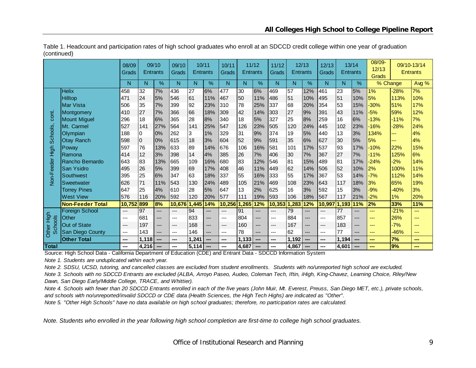|                |                         | 08/09<br>Grads | 09/10<br>Entrants |     | 09/10<br>Grads | 10/11<br>Entrants |     | 10/11<br>Grads | 11/12<br>Entrants |       | 11/12<br>Grads | 12/13<br><b>Entrants</b> |       | 12/13<br>Grads           | Entrants        | 13/14 | 08/09-<br>12/13<br>Grads |        | 09/10-13/14<br><b>Entrants</b> |
|----------------|-------------------------|----------------|-------------------|-----|----------------|-------------------|-----|----------------|-------------------|-------|----------------|--------------------------|-------|--------------------------|-----------------|-------|--------------------------|--------|--------------------------------|
|                |                         | N              | N                 | %   | N              | N                 | %   | N              | N                 | $\%$  | N              | N                        | %     | N                        | N               | %     | % Change                 |        | Avg %                          |
|                | <b>Helix</b>            | 458            | 32                | 7%  | 436            | 27                | 6%  | 477            | $\overline{30}$   | 6%    | 469            | 57                       | 12%   | 461                      | $\overline{23}$ | 5%    | $1\%$                    | $-28%$ | 7%                             |
|                | Hilltop                 | 471            | 24                | 5%  | 546            | 61                | 11% | 467            | 50                | 11%   | 486            | 51                       | 10%   | 495                      | 51              | 10%   | 5%                       | 113%   | 10%                            |
|                | Mar Vista               | 506            | 35                | 7%  | 399            | 92                | 23% | 310            | 78                | 25%   | 337            | 68                       | 20%   | 354                      | 53              | 15%   | $-30%$                   | 51%    | 17%                            |
| cont.          | Montgomery              | 410            | 27                | 7%  | 366            | 66                | 18% | 309            | 42                | 14%   | 303            | 27                       | 9%    | 391                      | 43              | 11%   | $-5%$                    | 59%    | 12%                            |
|                | <b>Mount Miguel</b>     | 296            | 18                | 6%  | 365            | 28                | 8%  | 340            | 18                | 5%    | 327            | 25                       | 8%    | 259                      | 16              | 6%    | $-13%$                   | $-11%$ | 7%                             |
|                | Mt. Carmel              | 527            | 141               | 27% | 564            | 141               | 25% | 547            | 126               | 23%   | 505            | 120                      | 24%   | 445                      | 102             | 23%   | $-16%$                   | $-28%$ | 24%                            |
| chools         | Olympian                | 188            | 0                 | 0%  | 262            | 3                 | 1%  | 329            | 31                | 9%    | 374            | 19                       | 5%    | 440                      | 13              | 3%    | 134%                     | ---    | 4%                             |
| <b>S</b>       | <b>Otay Ranch</b>       | 598            | 0                 | 0%  | 615            | 18                | 3%  | 604            | 52                | 9%    | 591            | 35                       | 6%    | 627                      | 30              | 5%    | 5%                       | ---    | 4%                             |
| .<br>도구        | Poway                   | 597            | 76                | 13% | 633            | 89                | 14% | 676            | 106               | 16%   | 581            | 101                      | 17%   | 537                      | 93              | 17%   | $-10%$                   | 22%    | 15%                            |
|                | Ramona                  | 414            | 12                | 3%  | 398            | 14                | 4%  | 385            | 26                | 7%    | 406            | 30                       | 7%    | 367                      | 27              | 7%    | $-11%$                   | 125%   | 6%                             |
| eeder          | Rancho Bernardo         | 643            | 83                | 13% | 665            | 109               | 16% | 680            | 83                | 12%   | 546            | 81                       | 15%   | 489                      | 81              | 17%   | $-24%$                   | $-2%$  | 14%                            |
|                | San Ysidro              | 495            | 26                | 5%  | 399            | 69                | 17% | 408            | 46                | 11%   | 449            | 62                       | 14%   | 506                      | 52              | 10%   | 2%                       | 100%   | 11%                            |
| Non-Fe         | Southwest               | 395            | 25                | 6%  | 347            | 63                | 18% | 337            | 55                | 16%   | 333            | 55                       | 17%   | 367                      | 53              | 14%   | $-7%$                    | 112%   | 14%                            |
|                | Sweetwater              | 626            | 71                | 11% | 543            | 130               | 24% | 489            | 105               | 21%   | 469            | 108                      | 23%   | 643                      | 117             | 18%   | 3%                       | 65%    | 19%                            |
|                | <b>Torrey Pines</b>     | 647            | 25                | 4%  | 610            | 28                | 5%  | 647            | 13                | 2%    | 625            | 16                       | 3%    | 592                      | 15              | 3%    | $-9%$                    | $-40%$ | 3%                             |
|                | <b>West View</b>        | 576            | 116               | 20% | 592            | 120               | 20% | 577            | 111               | 19%   | 593            | 106                      | 18%   | 567                      | 117             | 21%   | $-2%$                    | 1%     | 20%                            |
|                | <b>Non-Feeder Total</b> | 10,752         | 899               | 8%  | 10,676         | 1,445             | 14% | 10,256         | 1,265             | 12%   | 10,353 1,283   |                          | 12%   | 10,997                   | 1,193           | 11%   | 2%                       | 33%    | 11%                            |
|                | <b>Foreign School</b>   | $---$          | 97                | --- | ---            | 94                | --- | ---            | 91                | ---   | ---            | 79                       | $---$ | ---                      | 77              | ---   | ---                      | $-21%$ | $---$                          |
| High           | Other                   | $---$          | 681               | --- | ---            | 833               | --- | $---$          | 804               | ---   | ---            | 884                      | $---$ | $---$                    | 857             | ---   | ---                      | 26%    | ---                            |
| <b>Schools</b> | Out of State            | $---$          | 197               | --- | ---            | 168               | --- | $---$          | 160               | ---   | ---            | 167                      | $---$ | $---$                    | 183             | ---   | ---                      | $-7%$  | ---                            |
| Other          | San Diego County        | $---$          | 143               | --- | ---            | 146               | --- | $---$          | 78                | ---   | ---            | 62                       | $---$ | $---$                    | 77              | ---   | ---                      | $-46%$ | ---                            |
|                | <b>Other Total</b>      | ---            | 1.118             | --- | ---            | 1,241             | --- | ---            | 1,133             | ---   | ---            | 1,192                    | $---$ | $\overline{\phantom{a}}$ | 1,194           | ---   | ---                      | 7%     | ---                            |
| <b>Total</b>   |                         | ---            | 4.216             | --- | ---            | 5,114             | --- | ---            | 4,687             | $---$ | ---            | 4.867                    | ---   | ---                      | 4.601           | ---   |                          | 9%     | ---                            |

Table 1. Headcount and participation rates of high school graduates who enroll at an SDCCD credit college within one year of graduation (continued)

Source: High School Data - California Department of Education (CDE) and Entrant Data - SDCCD Information System

*Note 1. Students are unduplicated within each year.*

*Note 2. SDSU, UCSD, tutoring, and cancelled classes are excluded from student enrollments. Students with no/unreported high school are excluded.*

*Note 3. Schools with no SDCCD Entrants are excluded (ALBA, Arroyo Paseo, Audeo, Coleman Tech, Iftin, iHigh, King-Chavez, Learning Choice, Riley/New Dawn, San Diego Early/Middle College, TRACE, and Whittier).*

*Note 4. Schools with fewer than 20 SDCCD Entrants enrolled in each of the five years (John Muir, Mt. Everest, Preuss, San Diego MET, etc.), private schools, and schools with no/unreported/invalid SDCCD or CDE data (Health Sciences, the High Tech Highs) are indicated as "Other".*

*Note 5. "Other High Schools" have no data available on high school graduates; therefore, no participation rates are calculated.*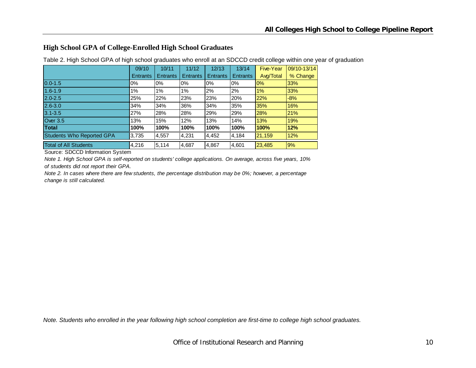#### **High School GPA of College-Enrolled High School Graduates**

|                              | 09/10           | 10/11           | 11/12           | 12/13           | 13/14           | <b>Five-Year</b> | 09/10-13/14 |
|------------------------------|-----------------|-----------------|-----------------|-----------------|-----------------|------------------|-------------|
|                              | <b>Entrants</b> | <b>Entrants</b> | <b>Entrants</b> | <b>Entrants</b> | <b>Entrants</b> | Avg/Total        | % Change    |
| $0.0 - 1.5$                  | $0\%$           | 0%              | 0%              | 0%              | $0\%$           | 0%               | 33%         |
| $1.6 - 1.9$                  | $1\%$           | 1%              | 1%              | 2%              | 2%              | $1\%$            | 33%         |
| $2.0 - 2.5$                  | 25%             | 22%             | 23%             | 23%             | 20%             | 22%              | $-8%$       |
| $2.6 - 3.0$                  | 34%             | 34%             | 36%             | 34%             | 35%             | 35%              | 16%         |
| $3.1 - 3.5$                  | 27%             | 28%             | 28%             | 29%             | 29%             | 28%              | 21%         |
| Over 3.5                     | 13%             | 15%             | 12%             | 13%             | 14%             | 13%              | 19%         |
| <b>Total</b>                 | 100%            | 100%            | 100%            | 100%            | 100%            | 100%             | 12%         |
| Students Who Reported GPA    | 3,735           | 4,557           | 4,231           | 4,452           | 4,184           | 21,159           | 12%         |
| <b>Total of All Students</b> | 4.216           | 5,114           | 4,687           | 4,867           | 4.601           | 23,485           | 9%          |

Table 2. High School GPA of high school graduates who enroll at an SDCCD credit college within one year of graduation

Source: SDCCD Information System

*Note 1. High School GPA is self-reported on students' college applications. On average, across five years, 10% of students did not report their GPA.*

*Note 2. In cases where there are few students, the percentage distribution may be 0%; however, a percentage change is still calculated.*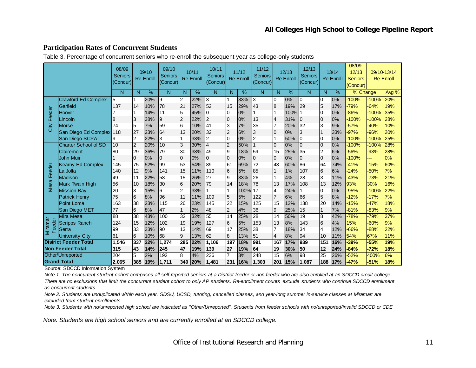#### **Participation Rates of Concurrent Students**

|         |                              | 08/09<br><b>Seniors</b><br>(Concur |                | 09/10<br><b>Re-Enroll</b> | 09/10<br><b>Seniors</b><br>(Concur) |                | 10/11<br><b>Re-Enroll</b> | 10/11<br><b>Seniors</b><br>(Concur) |                 | 11/12<br><b>Re-Enroll</b> | 11/12<br><b>Seniors</b><br>(Concur) |                | 12/13<br><b>Re-Enroll</b> | 12/13<br><b>Seniors</b><br>(Concur) |                 | 13/14<br><b>Re-Enroll</b> | 08/09-<br>12/13<br><b>Seniors</b><br>(Concur) |         | 09/10-13/14<br><b>Re-Enroll</b> |
|---------|------------------------------|------------------------------------|----------------|---------------------------|-------------------------------------|----------------|---------------------------|-------------------------------------|-----------------|---------------------------|-------------------------------------|----------------|---------------------------|-------------------------------------|-----------------|---------------------------|-----------------------------------------------|---------|---------------------------------|
|         |                              | N                                  | N              | %                         | N                                   | N              | %                         | N                                   | N               | %                         | N                                   | N              | $\frac{9}{6}$             | N                                   | N               | $\frac{0}{0}$             | % Change                                      |         | Avg %                           |
|         | <b>Crawford Ed Complex</b>   | 5                                  |                | 20%                       | 9                                   | 2              | 22%                       | 3                                   | 1               | 33%                       | 3                                   | $\Omega$       | 0%                        | $\overline{0}$                      | $\overline{0}$  | 0%                        | $-100%$                                       | 100%    | 20%                             |
|         | Garfield                     | 137                                | 14             | 10%                       | 78                                  | 21             | 27%                       | 52                                  | 15              | 29%                       | 43                                  | 8              | 19%                       | 29                                  | $\mathbf 5$     | 17%                       | -79%                                          | $-64%$  | 19%                             |
| Feeder  | Hoover                       |                                    |                | 14%                       | 11                                  | 5              | 45%                       | $\Omega$                            | 0               | 0%                        |                                     | $\overline{1}$ | 100%                      |                                     | $\overline{0}$  | 0%                        | $-86%$                                        | $-100%$ | 35%                             |
|         | Lincoln                      |                                    | 3              | 38%                       | 9                                   | $\overline{c}$ | 22%                       | $\overline{2}$                      | $\overline{0}$  | 0%                        | 13                                  | $\overline{4}$ | 31%                       | $\overline{0}$                      | $\mathbf 0$     | 0%                        | $-100%$                                       | $-100%$ | 28%                             |
| City    | <b>Morse</b>                 | 74                                 | 5              | 7%                        | 59                                  | 6              | 10%                       | 41                                  | 3               | 7%                        | 35                                  | $\overline{7}$ | 20%                       | 32                                  | 3               | 9%                        | $-57%$                                        | $-40%$  | 10%                             |
|         | San Diego Ed Complex 118     |                                    | 27             | 23%                       | 64                                  | 13             | 20%                       | 32                                  | $\overline{2}$  | 6%                        | 3                                   | $\overline{0}$ | 0%                        | 3                                   |                 | 33%                       | $-97%$                                        | 96%     | 20%                             |
|         | San Diego SCPA               |                                    | 2              | 22%                       | 3                                   |                | 33%                       | $\overline{2}$                      | $\overline{0}$  | 0%                        | 2                                   | $\overline{1}$ | 50%                       | 0                                   | $\mathbf 0$     | 0%                        | $-100%$                                       | $-100%$ | 25%                             |
|         | <b>Charter School of SD</b>  | 10                                 | $\overline{c}$ | 20%                       | 10                                  | 3              | 30%                       | 4                                   | $\overline{2}$  | 50%                       |                                     | $\overline{0}$ | 0%                        | 0                                   | $\overline{0}$  | 0%                        | $-100%$                                       | $-100%$ | 28%                             |
|         | Clairemont                   | 80                                 | 29             | 36%                       | 79                                  | 30             | 38%                       | 49                                  | 9               | 18%                       | 59                                  | 15             | 25%                       | 35                                  | $\overline{2}$  | 6%                        | $-56%$                                        | -93%    | 28%                             |
|         | <b>John Muir</b>             |                                    | 0              | 0%                        | $\Omega$                            | $\overline{0}$ | 0%                        | $\Omega$                            | $\overline{0}$  | 0%                        | 0                                   | $\overline{0}$ | 0%                        | $\overline{0}$                      | $\overline{0}$  | 0%                        | $-100%$                                       |         | 0%                              |
| Feeder  | <b>Kearny Ed Complex</b>     | 145                                | 75             | 52%                       | 99                                  | 53             | 54%                       | 89                                  | 61              | 69%                       | 72                                  | 43             | 60%                       | 86                                  | 64              | 74%                       | $-41%$                                        | $-15%$  | 60%                             |
|         | La Jolla                     | 140                                | 12             | 9%                        | 141                                 | 15             | 11%                       | 110                                 | $6\phantom{.}6$ | 5%                        | 85                                  | $\overline{1}$ | 1%                        | 107                                 | 6               | 6%                        | $-24%$                                        | -50%    | 7%                              |
|         | Madison                      | 49                                 | 11             | 22%                       | 58                                  | 15             | 26%                       | 27                                  | 9               | 33%                       | 26                                  | $\vert$ 1      | 4%                        | 28                                  | 3               | 11%                       | 43%                                           | $-73%$  | 21%                             |
| Mesa    | Mark Twain High              | 56                                 | 10             | 18%                       | 30                                  | 6              | 20%                       | 79                                  | 14              | 18%                       | 78                                  | 13             | 17%                       | 108                                 | 13              | 12%                       | 93%                                           | 30%     | 16%                             |
|         | <b>Mission Bay</b>           | 20                                 | 3              | 15%                       | 6                                   | 2              | 33%                       |                                     | $\mathbf{1}$    | 100%                      | 17                                  | 4              | 24%                       |                                     | $\Omega$        | 0%                        | $-95%$                                        | $-100%$ | 22%                             |
|         | <b>Patrick Henry</b>         | 75                                 | 6              | 8%                        | 96                                  | 11             | 11%                       | 109                                 | 5               | 5%                        | 122                                 | $\overline{7}$ | 6%                        | 66                                  | 5               | 8%                        | $-12%$                                        | $-17%$  | 7%                              |
|         | Point Loma                   | 163                                | 38             | 23%                       | 115                                 | 26             | 23%                       | 145                                 | 22              | 15%                       | 125                                 | 15             | 12%                       | 138                                 | 20              | 14%                       | $-15%$                                        | $-47%$  | 18%                             |
|         | San Diego MET                | 77                                 | 6              | 8%                        | 47                                  | $\mathbf{1}$   | 2%                        | 48                                  | $\overline{2}$  | 4%                        | 36                                  | 9              | 25%                       | 15                                  |                 | 7%                        | $-81%$                                        | $-83%$  | 9%                              |
|         | Mira Mesa                    | $\overline{88}$                    | 38             | 43%                       | 100                                 | 32             | 32%                       | 55                                  | 14              | 25%                       | 28                                  | 14             | 50%                       | 19                                  | $\overline{8}$  | 42%                       | $-78%$                                        | $-79%$  | 37%                             |
| Feeder  | <b>Scripps Ranch</b>         | 124                                | 15             | 12%                       | 102                                 | 19             | 19%                       | 127                                 | 6               | 5%                        | 153                                 | 13             | 8%                        | 143                                 | $6\phantom{.}6$ | 4%                        | 15%                                           | $-60%$  | 9%                              |
| Miramar | Serra                        | 99                                 | 33             | 33%                       | 90                                  | 13             | 14%                       | 69                                  | 17              | 25%                       | 38                                  | 7              | 18%                       | 34                                  | 4               | 12%                       | $-66%$                                        | $-88%$  | 22%                             |
|         | <b>University City</b>       | 61                                 | 6              | 10%                       | 68                                  | 9              | 13%                       | 62                                  | $\overline{8}$  | 13%                       | 51                                  | $\overline{4}$ | 8%                        | 94                                  | 10              | 11%                       | 54%                                           | 67%     | 11%                             |
|         | <b>District Feeder Total</b> | 1,546                              | 337            | 22%                       | 1,274                               | 285            | 22%                       | 1,106                               | 197             | 18%                       | 991                                 | 167            | 17%                       | 939                                 | 151             | 16%                       | $-39%$                                        | $-55%$  | 19%                             |
|         | Non-Feeder Total             | 315                                | 43             | 14%                       | 245                                 | 147            | 19%                       | 139                                 | 27              | 19%                       | 64                                  | 19             | 30%                       | 50                                  | 12              | 24%                       | $-84%$                                        | $-72%$  | 18%                             |
|         | <b>Other/Unreported</b>      | 204                                | 5              | 2%                        | 192                                 | 8              | 4%                        | 236                                 | $\overline{7}$  | 3%                        | 248                                 | 15             | 6%                        | 98                                  | 25              | 26%                       | $-52%$                                        | 400%    | 6%                              |
|         | <b>Grand Total</b>           | 2.065                              | 385            | 19%                       | 1.711                               | 340            | 20%                       | 1.481                               | 231             | 16%                       | 1.303                               | 201            | 15%                       | 1.087                               | 188             | 17%                       | $-47%$                                        | $-51%$  | 18%                             |

Table 3. Percentage of concurrent seniors who re-enroll the subsequent year as college-only students

Source: SDCCD Information System

*Note 1. The concurrent student cohort comprises all self-reported seniors at a District feeder or non-feeder who are also enrolled at an SDCCD credit college.*  There are no exclusions that limit the concurrent student cohort to only AP students. Re-enrollment counts exclude students who continue SDCCD enrollment *as concurrent students.* 

*Note 2. Students are unduplicated within each year. SDSU, UCSD, tutoring, cancelled classes, and year-long summer in-service classes at Miramarr are excluded from student enrollments.* 

*Note 3. Students with no/unreported high school are indicated as "Other/Unreported". Students from feeder schools with no/unreported/invalid SDCCD or CDE* 

*Note. Students are high school seniors and are currently enrolled at an SDCCD college.*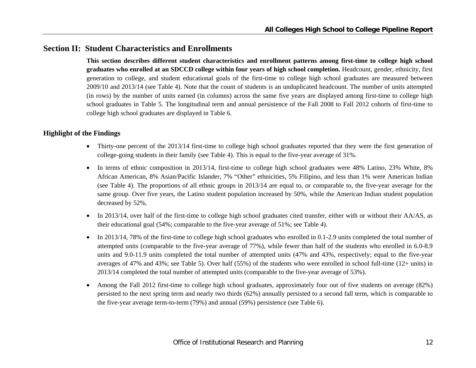## **Section II: Student Characteristics and Enrollments**

**This section describes different student characteristics and enrollment patterns among first-time to college high school graduates who enrolled at an SDCCD college within four years of high school completion.** Headcount, gender, ethnicity, first generation to college, and student educational goals of the first-time to college high school graduates are measured between 2009/10 and 2013/14 (see Table 4). Note that the count of students is an unduplicated headcount. The number of units attempted (in rows) by the number of units earned (in columns) across the same five years are displayed among first-time to college high school graduates in Table 5. The longitudinal term and annual persistence of the Fall 2008 to Fall 2012 cohorts of first-time to college high school graduates are displayed in Table 6.

#### **Highlight of the Findings**

- Thirty-one percent of the 2013/14 first-time to college high school graduates reported that they were the first generation of college-going students in their family (see Table 4). This is equal to the five-year average of 31%.
- 0 In terms of ethnic composition in 2013/14, first-time to college high school graduates were 48% Latino, 23% White, 8% African American, 8% Asian/Pacific Islander, 7% "Other" ethnicities, 5% Filipino, and less than 1% were American Indian (see Table 4). The proportions of all ethnic groups in 2013/14 are equal to, or comparable to, the five-year average for the same group. Over five years, the Latino student population increased by 50%, while the American Indian student population decreased by 52%.
- $\bullet$  In 2013/14, over half of the first-time to college high school graduates cited transfer, either with or without their AA/AS, as their educational goal (54%; comparable to the five-year average of 51%; see Table 4).
- $\bullet$  In 2013/14, 78% of the first-time to college high school graduates who enrolled in 0.1-2.9 units completed the total number of attempted units (comparable to the five-year average of 77%), while fewer than half of the students who enrolled in 6.0-8.9 units and 9.0-11.9 units completed the total number of attempted units (47% and 43%, respectively; equal to the five-year averages of 47% and 43%; see Table 5). Over half (55%) of the students who were enrolled in school full-time (12+ units) in 2013/14 completed the total number of attempted units (comparable to the five-year average of 53%).
- 0 Among the Fall 2012 first-time to college high school graduates, approximately four out of five students on average (82%) persisted to the next spring term and nearly two thirds (62%) annually persisted to a second fall term, which is comparable to the five-year average term-to-term (79%) and annual (59%) persistence (see Table 6).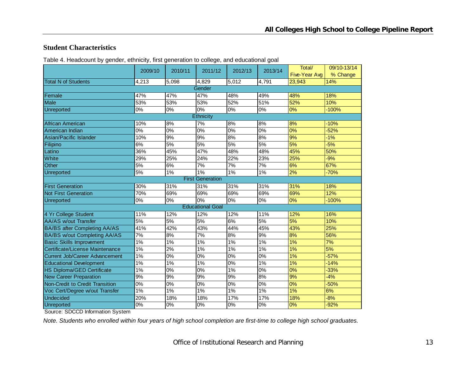#### **Student Characteristics**

Table 4. Headcount by gender, ethnicity, first generation to college, and educational goal

|                                       | 2009/10 | 2010/11 | 2011/12                 | 2012/13       | 2013/14 | Total/               | 09/10-13/14 |
|---------------------------------------|---------|---------|-------------------------|---------------|---------|----------------------|-------------|
|                                       |         |         |                         |               |         | <b>Five-Year Avg</b> | % Change    |
| <b>Total N of Students</b>            | 4,213   | 5,098   | 4,829                   | 5,012         | 4,791   | 23,943               | 14%         |
|                                       |         |         | Gender                  |               |         |                      |             |
| Female                                | 47%     | 47%     | 47%                     | 48%           | 49%     | 48%                  | 18%         |
| <b>Male</b>                           | 53%     | 53%     | 53%                     | 52%           | 51%     | 52%                  | 10%         |
| Unreported                            | 0%      | 0%      | 0%                      | 0%            | 0%      | 0%                   | $-100%$     |
|                                       |         |         | Ethnicity               |               |         |                      |             |
| African American                      | 10%     | 8%      | 7%                      | $\frac{8}{6}$ | 8%      | 8%                   | $-10%$      |
| American Indian                       | 0%      | 0%      | 0%                      | 0%            | 0%      | 0%                   | $-52%$      |
| Asian/Pacific Islander                | 10%     | 9%      | 9%                      | 8%            | 8%      | 9%                   | $-1%$       |
| Filipino                              | 6%      | 5%      | 5%                      | 5%            | 5%      | 5%                   | $-5%$       |
| Latino                                | 36%     | 45%     | 47%                     | 48%           | 48%     | 45%                  | 50%         |
| White                                 | 29%     | 25%     | 24%                     | 22%           | 23%     | 25%                  | $-9%$       |
| <b>Other</b>                          | 5%      | 6%      | 7%                      | 7%            | 7%      | 6%                   | 67%         |
| Unreported                            | 5%      | 1%      | 1%                      | 1%            | 1%      | 2%                   | $-70%$      |
|                                       |         |         | <b>First Generation</b> |               |         |                      |             |
| <b>First Generation</b>               | 30%     | 31%     | 31%                     | 31%           | 31%     | 31%                  | 18%         |
| <b>Not First Generation</b>           | 70%     | 69%     | 69%                     | 69%           | 69%     | 69%                  | 12%         |
| <b>Unreported</b>                     | 0%      | 0%      | 0%                      | 0%            | $0\%$   | 0%                   | $-100%$     |
|                                       |         |         | <b>Educational Goal</b> |               |         |                      |             |
| 4 Yr College Student                  | 11%     | 12%     | 12%                     | 12%           | 11%     | 12%                  | 16%         |
| <b>AA/AS w/out Transfer</b>           | 5%      | 5%      | 5%                      | 6%            | 5%      | 5%                   | 10%         |
| <b>BA/BS after Completing AA/AS</b>   | 41%     | 42%     | 43%                     | 44%           | 45%     | 43%                  | 25%         |
| BA/BS w/out Completing AA/AS          | 7%      | 8%      | 7%                      | 8%            | 9%      | 8%                   | 56%         |
| <b>Basic Skills Improvement</b>       | 1%      | 1%      | $1\%$                   | $1\%$         | 1%      | 1%                   | 7%          |
| Certificate/License Maintenance       | 1%      | 2%      | 1%                      | 1%            | 1%      | 1%                   | 5%          |
| <b>Current Job/Career Advancement</b> | 1%      | 0%      | 0%                      | 0%            | 0%      | 1%                   | $-57%$      |
| <b>Educational Development</b>        | 1%      | 1%      | 1%                      | 0%            | 1%      | 1%                   | $-14%$      |
| <b>HS Diploma/GED Certificate</b>     | 1%      | 0%      | 0%                      | 1%            | 0%      | 0%                   | $-33%$      |
| <b>New Career Preparation</b>         | 9%      | 9%      | 9%                      | 9%            | 8%      | 9%                   | $-4%$       |
| Non-Credit to Credit Transition       | 0%      | 0%      | 0%                      | 0%            | 0%      | 0%                   | $-50%$      |
| Voc Cert/Degree w/out Transfer        | 1%      | 1%      | 1%                      | 1%            | 1%      | 1%                   | 6%          |
| <b>Undecided</b>                      | 20%     | 18%     | 18%                     | 17%           | 17%     | 18%                  | $-8%$       |
| Unreported                            | $0\%$   | 0%      | 0%                      | $0\%$         | 0%      | 0%                   | $-92%$      |

Source: SDCCD Information System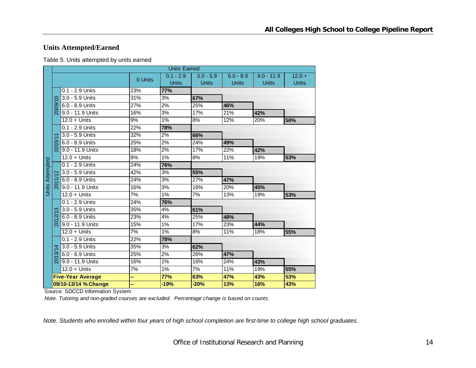## **Units Attempted/Earned**

| Table 5. Units attempted by units earned |
|------------------------------------------|
|------------------------------------------|

|                        | <b>Units Earned</b> |                          |         |                             |                             |                             |                              |                          |  |  |
|------------------------|---------------------|--------------------------|---------|-----------------------------|-----------------------------|-----------------------------|------------------------------|--------------------------|--|--|
|                        |                     |                          | 0 Units | $0.1 - 2.9$<br><b>Units</b> | $3.0 - 5.9$<br><b>Units</b> | $6.0 - 8.9$<br><b>Units</b> | $9.0 - 11.9$<br><b>Units</b> | $12.0 +$<br><b>Units</b> |  |  |
|                        |                     | 0.1 - 2.9 Units          | 23%     | 77%                         |                             |                             |                              |                          |  |  |
|                        |                     | 3.0 - 5.9 Units          | 31%     | 3%                          | 67%                         |                             |                              |                          |  |  |
|                        | 2009/               | 6.0 - 8.9 Units          | 27%     | 2%                          | 25%                         | 46%                         |                              |                          |  |  |
|                        |                     | 9.0 - 11.9 Units         | 16%     | 3%                          | 17%                         | 21%                         | 42%                          |                          |  |  |
|                        |                     | $12.0 +$ Units           | 9%      | 1%                          | 8%                          | $\frac{1}{2%}$              | 20%                          | 50%                      |  |  |
|                        |                     | 0.1 - 2.9 Units          | 22%     | <b>78%</b>                  |                             |                             |                              |                          |  |  |
|                        |                     | 3.0 - 5.9 Units          | 32%     | 2%                          | 66%                         |                             |                              |                          |  |  |
|                        | 6                   | 6.0 - 8.9 Units          | 25%     | 2%                          | 24%                         | 49%                         |                              |                          |  |  |
|                        | $\overline{5}$      | 9.0 - 11.9 Units         | 18%     | 2%                          | 17%                         | 22%                         | 42%                          |                          |  |  |
|                        |                     | $12.0 +$ Units           | 8%      | 1%                          | 8%                          | 11%                         | 19%                          | 53%                      |  |  |
| <b>Units Attempted</b> |                     | 0.1 - 2.9 Units          | 24%     | 76%                         |                             |                             |                              |                          |  |  |
|                        |                     | 3.0 - 5.9 Units          | 42%     | 3%                          | 55%                         |                             |                              |                          |  |  |
|                        |                     | 6.0 - 8.9 Units          | 24%     | $\overline{3\%}$            | 27%                         | 47%                         |                              |                          |  |  |
|                        | 201                 | 9.0 - 11.9 Units         | 16%     | 3%                          | 16%                         | 20%                         | 45%                          |                          |  |  |
|                        |                     | $12.0 +$ Units           | 7%      | 1%                          | 7%                          | 13%                         | 19%                          | 53%                      |  |  |
|                        |                     | 0.1 - 2.9 Units          | 24%     | 76%                         |                             |                             |                              |                          |  |  |
|                        | ო                   | 3.0 - 5.9 Units          | 35%     | 4%                          | 61%                         |                             |                              |                          |  |  |
|                        | ন                   | 6.0 - 8.9 Units          | 23%     | 4%                          | 25%                         | 48%                         |                              |                          |  |  |
|                        | Ŕ                   | 9.0 - 11.9 Units         | 15%     | 1%                          | 17%                         | 23%                         | 44%                          |                          |  |  |
|                        |                     | $12.0 +$ Units           | 7%      | 1%                          | 8%                          | 11%                         | 18%                          | 55%                      |  |  |
|                        |                     | 0.1 - 2.9 Units          | 22%     | 78%                         |                             |                             |                              |                          |  |  |
|                        | 4                   | 3.0 - 5.9 Units          | 35%     | 3%                          | 62%                         |                             |                              |                          |  |  |
|                        | ᠗                   | 6.0 - 8.9 Units          | 25%     | 2%                          | 26%                         | 47%                         |                              |                          |  |  |
|                        | న్లె                | 9.0 - 11.9 Units         | 16%     | 1%                          | 16%                         | 24%                         | 43%                          |                          |  |  |
|                        |                     | $12.0 +$ Units           | 7%      | 1%                          | 7%                          | 11%                         | 19%                          | 55%                      |  |  |
|                        |                     | <b>Five-Year Average</b> | ш,      | 77%                         | 63%                         | 47%                         | 43%                          | 53%                      |  |  |
|                        |                     | 09/10-13/14 % Change     | ÷,      | $-19%$                      | $-20%$                      | 13%                         | 16%                          | 43%                      |  |  |

Source: SDCCD Information System

*Note. Tutoring and non-graded courses are excluded. Percentage change is based on counts.*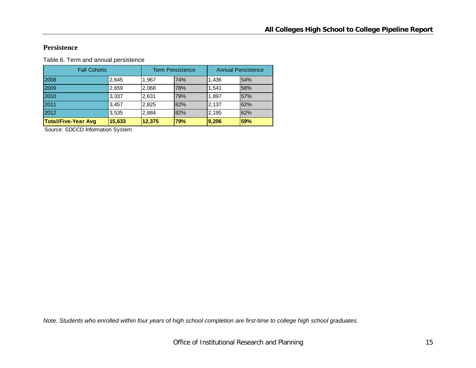#### **Persistence**

Table 6. Term and annual persistence

| <b>Fall Cohorts</b>        |        | <b>Term Persistence</b> | <b>Annual Persistence</b> |       |     |
|----------------------------|--------|-------------------------|---------------------------|-------|-----|
| 2008                       | 2,645  | 1.967                   | 74%                       | 1.436 | 54% |
| 2009                       | 2,659  | 2,068                   | 78%                       | 1.541 | 58% |
| 2010                       | 3,337  | 2,631                   | 79%                       | 1.897 | 57% |
| 2011                       | 3.457  | 2,825                   | 82%                       | 2.137 | 62% |
| 2012                       | 3,535  | 2,884                   | 82%                       | 2.195 | 62% |
| <b>Total/Five-Year Avg</b> | 15,633 | 12,375                  | 79%                       | 9,206 | 59% |

Source: SDCCD Information System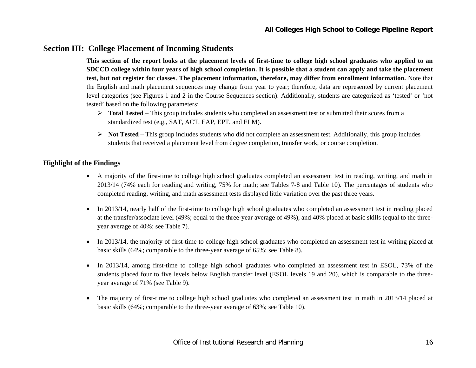## **Section III: College Placement of Incoming Students**

**This section of the report looks at the placement levels of first-time to college high school graduates who applied to an SDCCD college within four years of high school completion. It is possible that a student can apply and take the placement test, but not register for classes. The placement information, therefore, may differ from enrollment information.** Note that the English and math placement sequences may change from year to year; therefore, data are represented by current placement level categories (see Figures 1 and 2 in the Course Sequences section). Additionally, students are categorized as 'tested' or 'not tested' based on the following parameters:

- **Total Tested**  This group includes students who completed an assessment test or submitted their scores from a standardized test (e.g., SAT, ACT, EAP, EPT, and ELM).
- $\triangleright$  **Not Tested** This group includes students who did not complete an assessment test. Additionally, this group includes students that received a placement level from degree completion, transfer work, or course completion.

#### **Highlight of the Findings**

- A majority of the first-time to college high school graduates completed an assessment test in reading, writing, and math in 2013/14 (74% each for reading and writing, 75% for math; see Tables 7-8 and Table 10). The percentages of students who completed reading, writing, and math assessment tests displayed little variation over the past three years.
- $\bullet$  In 2013/14, nearly half of the first-time to college high school graduates who completed an assessment test in reading placed at the transfer/associate level (49%; equal to the three-year average of 49%), and 40% placed at basic skills (equal to the threeyear average of 40%; see Table 7).
- $\bullet$  In 2013/14, the majority of first-time to college high school graduates who completed an assessment test in writing placed at basic skills (64%; comparable to the three-year average of 65%; see Table 8).
- $\bullet$ In 2013/14, among first-time to college high school graduates who completed an assessment test in ESOL, 73% of the students placed four to five levels below English transfer level (ESOL levels 19 and 20), which is comparable to the threeyear average of 71% (see Table 9).
- $\bullet$  The majority of first-time to college high school graduates who completed an assessment test in math in 2013/14 placed at basic skills (64%; comparable to the three-year average of 63%; see Table 10).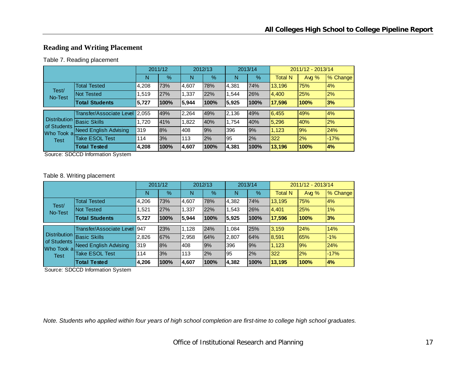## **Reading and Writing Placement**

#### Table 7. Reading placement

|                                           |                                 |       | 2011/12 |       | 2012/13 |       | 2013/14       | 2011/12 - 2013/14 |         |          |
|-------------------------------------------|---------------------------------|-------|---------|-------|---------|-------|---------------|-------------------|---------|----------|
|                                           |                                 | N     | $\%$    | N     | $\%$    | N     | $\frac{9}{6}$ | <b>Total N</b>    | Avg $%$ | % Change |
| Test/                                     | <b>Total Tested</b>             | 4,208 | 73%     | 4.607 | 78%     | 4,381 | 74%           | 13.196            | 75%     | 4%       |
| No-Test                                   | Not Tested                      | 1,519 | 27%     | 1,337 | 22%     | .544  | 26%           | 4,400             | 25%     | 2%       |
|                                           | <b>Total Students</b>           | 5,727 | 100%    | 5,944 | 100%    | 5,925 | 100%          | 17,596            | 100%    | 3%       |
|                                           |                                 |       |         |       |         |       |               |                   |         |          |
|                                           | <b>Transfer/Associate Level</b> | 2,055 | 49%     | 2,264 | 49%     | 2,136 | 49%           | 6,455             | 49%     | 4%       |
| Distribution                              | <b>Basic Skills</b>             | 1,720 | 41%     | 1.822 | 40%     | 1.754 | 40%           | 5,296             | 40%     | 2%       |
| of Students<br>Who Took al<br><b>Test</b> | <b>Need English Advising</b>    | 319   | 8%      | 408   | 9%      | 396   | 9%            | 1,123             | 9%      | 24%      |
|                                           | <b>Take ESOL Test</b>           | 114   | 3%      | 113   | 2%      | 95    | 2%            | 322               | 2%      | $-17%$   |
|                                           | <b>Total Tested</b>             | 4,208 | 100%    | 4,607 | 100%    | 4,381 | 100%          | 13,196            | 100%    | 4%       |

Source: SDCCD Information System

|  |  | Table 8. Writing placement |
|--|--|----------------------------|
|--|--|----------------------------|

|                             |                               |       | 2011/12       | 2012/13 |      | 2013/14 |      | 2011/12 - 2013/14 |         |          |
|-----------------------------|-------------------------------|-------|---------------|---------|------|---------|------|-------------------|---------|----------|
|                             |                               | N     | $\frac{9}{6}$ | N       | $\%$ | N       | $\%$ | <b>Total N</b>    | Avg $%$ | % Change |
| Test/<br>No-Test            | <b>Total Tested</b>           | 4,206 | 73%           | 4.607   | 78%  | 4,382   | 74%  | 13.195            | 75%     | 4%       |
|                             | <b>Not Tested</b>             | 1.521 | 27%           | 1.337   | 22%  | 1,543   | 26%  | 4.401             | 25%     | 1%       |
|                             | <b>Total Students</b>         | 5,727 | 100%          | 15,944  | 100% | 5.925   | 100% | 17,596            | 100%    | 3%       |
|                             | Transfer/Associate Level 1947 |       | 23%           | 1,128   | 24%  | 1,084   | 25%  | 3,159             | 24%     | 14%      |
| Distribution<br>of Students | <b>Basic Skills</b>           | 2,826 | 67%           | 2,958   | 64%  | 2,807   | 64%  | 8,591             | 65%     | $-1%$    |
| Who Took al<br><b>Test</b>  | <b>Need English Advising</b>  | 319   | 8%            | 408     | 9%   | 396     | 9%   | 1,123             | 9%      | 24%      |
|                             | <b>Take ESOL Test</b>         | 114   | 3%            | 113     | 2%   | 95      | 2%   | 322               | 2%      | $-17%$   |
|                             | <b>Total Tested</b>           | 4,206 | 100%          | 4.607   | 100% | 4,382   | 100% | 13,195            | 100%    | 4%       |

Source: SDCCD Information System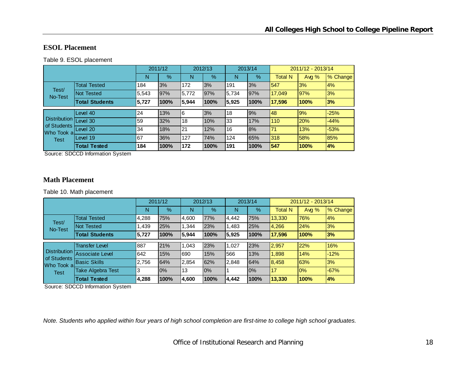#### **ESOL Placement**

Table 9. ESOL placement

|                                                                          |                       |       | 2011/12<br>2012/13<br>2013/14 |       |      |       |      | 2011/12 - 2013/14 |         |          |
|--------------------------------------------------------------------------|-----------------------|-------|-------------------------------|-------|------|-------|------|-------------------|---------|----------|
|                                                                          |                       | N     | $\%$                          | N     | $\%$ | N     | $\%$ | <b>Total N</b>    | Avg $%$ | % Change |
| Test/<br>No-Test                                                         | <b>Total Tested</b>   | 184   | 3%                            | 172   | 3%   | 191   | 3%   | 547               | 3%      | 4%       |
|                                                                          | <b>Not Tested</b>     | 5,543 | 97%                           | 5,772 | 97%  | 5.734 | 97%  | 17,049            | 97%     | 3%       |
|                                                                          | <b>Total Students</b> | 5,727 | 100%                          | 5,944 | 100% | 5,925 | 100% | 17,596            | 100%    | 3%       |
|                                                                          |                       |       |                               |       |      |       |      |                   |         |          |
| Distribution $\overline{1}$<br>of Students<br>Who Took al<br><b>Test</b> | Level 40              | 24    | 13%                           | 6     | 3%   | 18    | 9%   | 48                | 9%      | $-25%$   |
|                                                                          | Level 30              | 59    | 32%                           | 18    | 10%  | 133   | 17%  | 110               | 20%     | $-44%$   |
|                                                                          | Level 20              | 34    | 18%                           | 21    | 12%  | 16    | 8%   | 71                | 13%     | $-53%$   |
|                                                                          | Level 19              | 67    | 36%                           | 127   | 74%  | 124   | 65%  | 318               | 58%     | 85%      |
|                                                                          | <b>Total Tested</b>   | 184   | 100%                          | 172   | 100% | 191   | 100% | 547               | 100%    | 4%       |

Source: SDCCD Information System

#### **Math Placement**

Table 10. Math placement

|                                                           |                          |       | 2011/12 |       | 2012/13       |       | 2013/14 |                 |         | 2011/12 - 2013/14 |  |
|-----------------------------------------------------------|--------------------------|-------|---------|-------|---------------|-------|---------|-----------------|---------|-------------------|--|
|                                                           |                          | N     | %       | N     | $\frac{9}{6}$ | N     | $\%$    | <b>Total N</b>  | Avg $%$ | % Change          |  |
| Test/<br>No-Test                                          | <b>Total Tested</b>      | 4,288 | 75%     | 4,600 | 77%           | 4,442 | 75%     | 13,330          | 76%     | 4%                |  |
|                                                           | Not Tested               | 1,439 | 25%     | 1.344 | 23%           | ,483  | 25%     | 4,266           | 24%     | 3%                |  |
|                                                           | <b>Total Students</b>    | 5,727 | 100%    | 5,944 | 100%          | 5,925 | 100%    | 17,596          | 100%    | 3%                |  |
| Distribution<br>of Students<br>Who Took al<br><b>Test</b> | <b>Transfer Level</b>    | 887   | 21%     | 1.043 | 23%           | ,027  | 23%     | 2,957           | 22%     | 16%               |  |
|                                                           | <b>Associate Level</b>   | 642   | 15%     | 690   | 15%           | 566   | 13%     | 1,898           | 14%     | $-12%$            |  |
|                                                           | <b>Basic Skills</b>      | 2,756 | 64%     | 2,854 | 62%           | 2,848 | 64%     | 8,458           | 63%     | 3%                |  |
|                                                           | <b>Take Algebra Test</b> | 3     | 0%      | 13    | 0%            |       | 0%      | $\overline{17}$ | 0%      | $-67%$            |  |
|                                                           | <b>Total Tested</b>      | 4,288 | 100%    | 4,600 | 100%          | 4,442 | 100%    | 13,330          | 100%    | 4%                |  |

Source: SDCCD Information System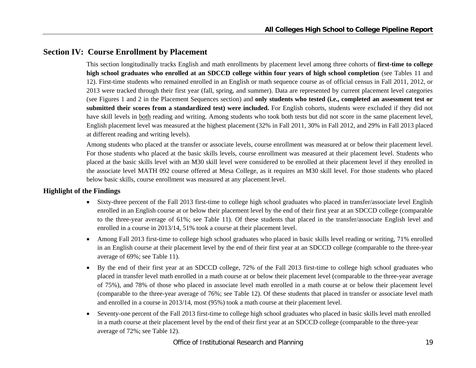## **Section IV: Course Enrollment by Placement**

This section longitudinally tracks English and math enrollments by placement level among three cohorts of **first-time to college high school graduates who enrolled at an SDCCD college within four years of high school completion** (see Tables 11 and 12). First-time students who remained enrolled in an English or math sequence course as of official census in Fall 2011, 2012, or 2013 were tracked through their first year (fall, spring, and summer). Data are represented by current placement level categories (see Figures 1 and 2 in the Placement Sequences section) and **only students who tested (i.e., completed an assessment test or submitted their scores from a standardized test) were included.** For English cohorts, students were excluded if they did not have skill levels in both reading and writing. Among students who took both tests but did not score in the same placement level, English placement level was measured at the highest placement (32% in Fall 2011, 30% in Fall 2012, and 29% in Fall 2013 placed at different reading and writing levels).

Among students who placed at the transfer or associate levels, course enrollment was measured at or below their placement level. For those students who placed at the basic skills levels, course enrollment was measured at their placement level. Students who placed at the basic skills level with an M30 skill level were considered to be enrolled at their placement level if they enrolled in the associate level MATH 092 course offered at Mesa College, as it requires an M30 skill level. For those students who placed below basic skills, course enrollment was measured at any placement level.

#### **Highlight of the Findings**

- Sixty-three percent of the Fall 2013 first-time to college high school graduates who placed in transfer/associate level English enrolled in an English course at or below their placement level by the end of their first year at an SDCCD college (comparable to the three-year average of 61%; see Table 11). Of these students that placed in the transfer/associate English level and enrolled in a course in 2013/14, 51% took a course at their placement level.
- $\bullet$  Among Fall 2013 first-time to college high school graduates who placed in basic skills level reading or writing, 71% enrolled in an English course at their placement level by the end of their first year at an SDCCD college (comparable to the three-year average of 69%; see Table 11).
- By the end of their first year at an SDCCD college, 72% of the Fall 2013 first-time to college high school graduates who placed in transfer level math enrolled in a math course at or below their placement level (comparable to the three-year average of 75%), and 78% of those who placed in associate level math enrolled in a math course at or below their placement level (comparable to the three-year average of 76%; see Table 12). Of these students that placed in transfer or associate level math and enrolled in a course in 2013/14, most (95%) took a math course at their placement level.
- 6 Seventy-one percent of the Fall 2013 first-time to college high school graduates who placed in basic skills level math enrolled in a math course at their placement level by the end of their first year at an SDCCD college (comparable to the three-year average of 72%; see Table 12).